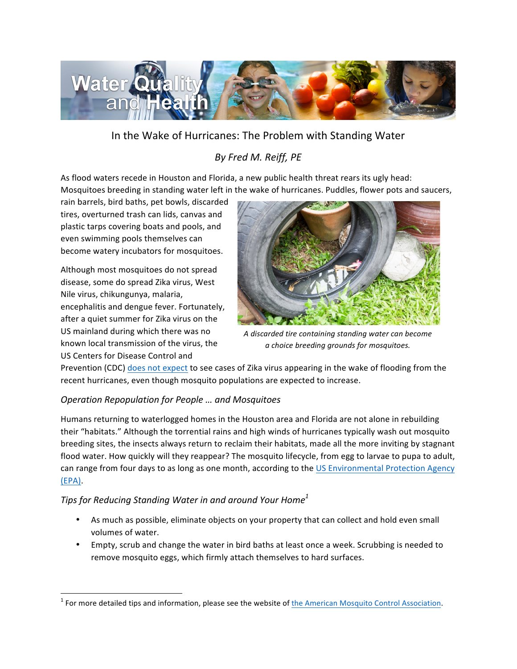

## In the Wake of Hurricanes: The Problem with Standing Water

# *By Fred M. Reiff, PE*

As flood waters recede in Houston and Florida, a new public health threat rears its ugly head: Mosquitoes breeding in standing water left in the wake of hurricanes. Puddles, flower pots and saucers,

rain barrels, bird baths, pet bowls, discarded tires, overturned trash can lids, canvas and plastic tarps covering boats and pools, and even swimming pools themselves can become watery incubators for mosquitoes.

Although most mosquitoes do not spread disease, some do spread Zika virus, West Nile virus, chikungunya, malaria, encephalitis and dengue fever. Fortunately, after a quiet summer for Zika virus on the US mainland during which there was no known local transmission of the virus, the US Centers for Disease Control and

<u> 1989 - Jan Samuel Barbara, margaret e</u>



*A discarded tire containing standing water can become a choice breeding grounds for mosquitoes.*

Prevention (CDC) does not expect to see cases of Zika virus appearing in the wake of flooding from the recent hurricanes, even though mosquito populations are expected to increase.

### *Operation Repopulation for People … and Mosquitoes*

Humans returning to waterlogged homes in the Houston area and Florida are not alone in rebuilding their "habitats." Although the torrential rains and high winds of hurricanes typically wash out mosquito breeding sites, the insects always return to reclaim their habitats, made all the more inviting by stagnant flood water. How quickly will they reappear? The mosquito lifecycle, from egg to larvae to pupa to adult, can range from four days to as long as one month, according to the US Environmental Protection Agency (EPA). 

### *Tips* for Reducing Standing Water in and around Your Home<sup>1</sup>

- As much as possible, eliminate objects on your property that can collect and hold even small volumes of water.
- Empty, scrub and change the water in bird baths at least once a week. Scrubbing is needed to remove mosquito eggs, which firmly attach themselves to hard surfaces.

 $1$  For more detailed tips and information, please see the website of the American Mosquito Control Association.